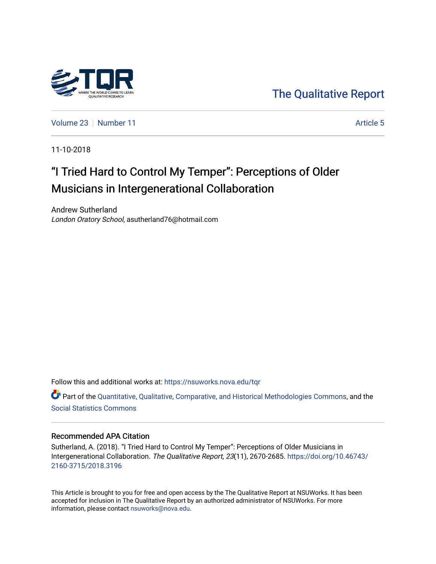

[The Qualitative Report](https://nsuworks.nova.edu/tqr) 

[Volume 23](https://nsuworks.nova.edu/tqr/vol23) [Number 11](https://nsuworks.nova.edu/tqr/vol23/iss11) Article 5

11-10-2018

# "I Tried Hard to Control My Temper": Perceptions of Older Musicians in Intergenerational Collaboration

Andrew Sutherland London Oratory School, asutherland76@hotmail.com

Follow this and additional works at: [https://nsuworks.nova.edu/tqr](https://nsuworks.nova.edu/tqr?utm_source=nsuworks.nova.edu%2Ftqr%2Fvol23%2Fiss11%2F5&utm_medium=PDF&utm_campaign=PDFCoverPages) 

Part of the [Quantitative, Qualitative, Comparative, and Historical Methodologies Commons,](http://network.bepress.com/hgg/discipline/423?utm_source=nsuworks.nova.edu%2Ftqr%2Fvol23%2Fiss11%2F5&utm_medium=PDF&utm_campaign=PDFCoverPages) and the [Social Statistics Commons](http://network.bepress.com/hgg/discipline/1275?utm_source=nsuworks.nova.edu%2Ftqr%2Fvol23%2Fiss11%2F5&utm_medium=PDF&utm_campaign=PDFCoverPages) 

### Recommended APA Citation

Sutherland, A. (2018). "I Tried Hard to Control My Temper": Perceptions of Older Musicians in Intergenerational Collaboration. The Qualitative Report, 23(11), 2670-2685. [https://doi.org/10.46743/](https://doi.org/10.46743/2160-3715/2018.3196) [2160-3715/2018.3196](https://doi.org/10.46743/2160-3715/2018.3196)

This Article is brought to you for free and open access by the The Qualitative Report at NSUWorks. It has been accepted for inclusion in The Qualitative Report by an authorized administrator of NSUWorks. For more information, please contact [nsuworks@nova.edu.](mailto:nsuworks@nova.edu)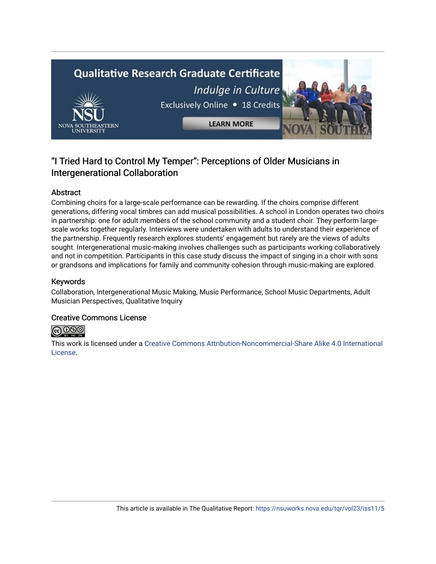

## "I Tried Hard to Control My Temper": Perceptions of Older Musicians in Intergenerational Collaboration

## Abstract

Combining choirs for a large-scale performance can be rewarding. If the choirs comprise different generations, differing vocal timbres can add musical possibilities. A school in London operates two choirs in partnership: one for adult members of the school community and a student choir. They perform largescale works together regularly. Interviews were undertaken with adults to understand their experience of the partnership. Frequently research explores students' engagement but rarely are the views of adults sought. Intergenerational music-making involves challenges such as participants working collaboratively and not in competition. Participants in this case study discuss the impact of singing in a choir with sons or grandsons and implications for family and community cohesion through music-making are explored.

## Keywords

Collaboration, Intergenerational Music Making, Music Performance, School Music Departments, Adult Musician Perspectives, Qualitative Inquiry

## Creative Commons License



This work is licensed under a [Creative Commons Attribution-Noncommercial-Share Alike 4.0 International](https://creativecommons.org/licenses/by-nc-sa/4.0/)  [License](https://creativecommons.org/licenses/by-nc-sa/4.0/).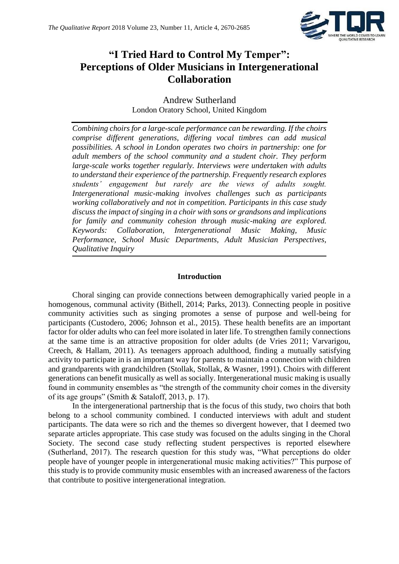

## **"I Tried Hard to Control My Temper": Perceptions of Older Musicians in Intergenerational Collaboration**

Andrew Sutherland London Oratory School, United Kingdom

*Combining choirs for a large-scale performance can be rewarding. If the choirs comprise different generations, differing vocal timbres can add musical possibilities. A school in London operates two choirs in partnership: one for adult members of the school community and a student choir. They perform large-scale works together regularly. Interviews were undertaken with adults to understand their experience of the partnership. Frequently research explores students' engagement but rarely are the views of adults sought. Intergenerational music-making involves challenges such as participants working collaboratively and not in competition. Participants in this case study discuss the impact of singing in a choir with sons or grandsons and implications for family and community cohesion through music-making are explored. Keywords: Collaboration, Intergenerational Music Making, Music Performance, School Music Departments, Adult Musician Perspectives, Qualitative Inquiry*

## **Introduction**

Choral singing can provide connections between demographically varied people in a homogenous, communal activity (Bithell, 2014; Parks, 2013). Connecting people in positive community activities such as singing promotes a sense of purpose and well-being for participants (Custodero, 2006; Johnson et al., 2015). These health benefits are an important factor for older adults who can feel more isolated in later life. To strengthen family connections at the same time is an attractive proposition for older adults (de Vries 2011; Varvarigou, Creech, & Hallam, 2011). As teenagers approach adulthood, finding a mutually satisfying activity to participate in is an important way for parents to maintain a connection with children and grandparents with grandchildren (Stollak, Stollak, & Wasner, 1991). Choirs with different generations can benefit musically as well as socially. Intergenerational music making is usually found in community ensembles as "the strength of the community choir comes in the diversity of its age groups" (Smith & Sataloff, 2013, p. 17).

In the intergenerational partnership that is the focus of this study, two choirs that both belong to a school community combined. I conducted interviews with adult and student participants. The data were so rich and the themes so divergent however, that I deemed two separate articles appropriate. This case study was focused on the adults singing in the Choral Society. The second case study reflecting student perspectives is reported elsewhere (Sutherland, 2017). The research question for this study was, "What perceptions do older people have of younger people in intergenerational music making activities?" This purpose of this study is to provide community music ensembles with an increased awareness of the factors that contribute to positive intergenerational integration.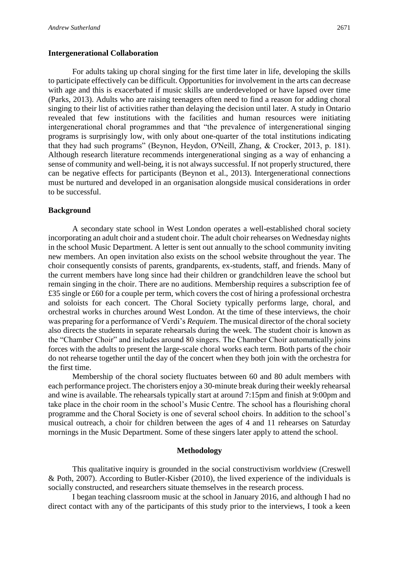#### **Intergenerational Collaboration**

For adults taking up choral singing for the first time later in life, developing the skills to participate effectively can be difficult. Opportunities for involvement in the arts can decrease with age and this is exacerbated if music skills are underdeveloped or have lapsed over time (Parks, 2013). Adults who are raising teenagers often need to find a reason for adding choral singing to their list of activities rather than delaying the decision until later. A study in Ontario revealed that few institutions with the facilities and human resources were initiating intergenerational choral programmes and that "the prevalence of intergenerational singing programs is surprisingly low, with only about one-quarter of the total institutions indicating that they had such programs" (Beynon, Heydon, O'Neill, Zhang, & Crocker, 2013, p. 181). Although research literature recommends intergenerational singing as a way of enhancing a sense of community and well-being, it is not always successful. If not properly structured, there can be negative effects for participants (Beynon et al., 2013). Intergenerational connections must be nurtured and developed in an organisation alongside musical considerations in order to be successful.

#### **Background**

A secondary state school in West London operates a well-established choral society incorporating an adult choir and a student choir. The adult choir rehearses on Wednesday nights in the school Music Department. A letter is sent out annually to the school community inviting new members. An open invitation also exists on the school website throughout the year. The choir consequently consists of parents, grandparents, ex-students, staff, and friends. Many of the current members have long since had their children or grandchildren leave the school but remain singing in the choir. There are no auditions. Membership requires a subscription fee of £35 single or £60 for a couple per term, which covers the cost of hiring a professional orchestra and soloists for each concert. The Choral Society typically performs large, choral, and orchestral works in churches around West London. At the time of these interviews, the choir was preparing for a performance of Verdi's *Requiem*. The musical director of the choral society also directs the students in separate rehearsals during the week. The student choir is known as the "Chamber Choir" and includes around 80 singers. The Chamber Choir automatically joins forces with the adults to present the large-scale choral works each term. Both parts of the choir do not rehearse together until the day of the concert when they both join with the orchestra for the first time.

Membership of the choral society fluctuates between 60 and 80 adult members with each performance project. The choristers enjoy a 30-minute break during their weekly rehearsal and wine is available. The rehearsals typically start at around 7:15pm and finish at 9:00pm and take place in the choir room in the school's Music Centre. The school has a flourishing choral programme and the Choral Society is one of several school choirs. In addition to the school's musical outreach, a choir for children between the ages of 4 and 11 rehearses on Saturday mornings in the Music Department. Some of these singers later apply to attend the school.

### **Methodology**

This qualitative inquiry is grounded in the social constructivism worldview (Creswell & Poth, 2007). According to Butler-Kisber (2010), the lived experience of the individuals is socially constructed, and researchers situate themselves in the research process.

I began teaching classroom music at the school in January 2016, and although I had no direct contact with any of the participants of this study prior to the interviews, I took a keen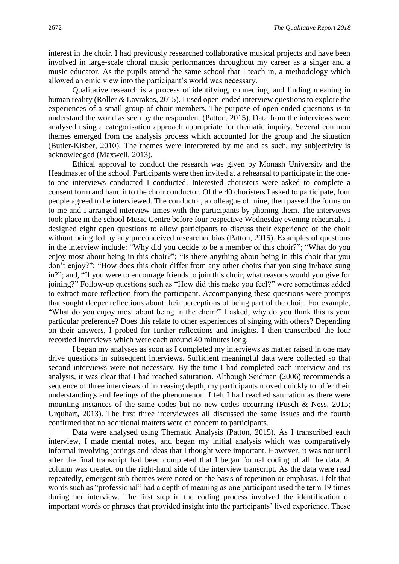interest in the choir. I had previously researched collaborative musical projects and have been involved in large-scale choral music performances throughout my career as a singer and a music educator. As the pupils attend the same school that I teach in, a methodology which allowed an emic view into the participant's world was necessary.

Qualitative research is a process of identifying, connecting, and finding meaning in human reality (Roller & Lavrakas, 2015). I used open-ended interview questions to explore the experiences of a small group of choir members. The purpose of open-ended questions is to understand the world as seen by the respondent (Patton, 2015). Data from the interviews were analysed using a categorisation approach appropriate for thematic inquiry. Several common themes emerged from the analysis process which accounted for the group and the situation (Butler-Kisber, 2010). The themes were interpreted by me and as such, my subjectivity is acknowledged (Maxwell, 2013).

Ethical approval to conduct the research was given by Monash University and the Headmaster of the school. Participants were then invited at a rehearsal to participate in the oneto-one interviews conducted I conducted. Interested choristers were asked to complete a consent form and hand it to the choir conductor. Of the 40 choristers I asked to participate, four people agreed to be interviewed. The conductor, a colleague of mine, then passed the forms on to me and I arranged interview times with the participants by phoning them. The interviews took place in the school Music Centre before four respective Wednesday evening rehearsals. I designed eight open questions to allow participants to discuss their experience of the choir without being led by any preconceived researcher bias (Patton, 2015). Examples of questions in the interview include: "Why did you decide to be a member of this choir?"; "What do you enjoy most about being in this choir?"; "Is there anything about being in this choir that you don't enjoy?"; "How does this choir differ from any other choirs that you sing in/have sung in?"; and, "If you were to encourage friends to join this choir, what reasons would you give for joining?" Follow-up questions such as "How did this make you feel?" were sometimes added to extract more reflection from the participant. Accompanying these questions were prompts that sought deeper reflections about their perceptions of being part of the choir. For example, "What do you enjoy most about being in the choir?" I asked, why do you think this is your particular preference? Does this relate to other experiences of singing with others? Depending on their answers, I probed for further reflections and insights. I then transcribed the four recorded interviews which were each around 40 minutes long.

I began my analyses as soon as I completed my interviews as matter raised in one may drive questions in subsequent interviews. Sufficient meaningful data were collected so that second interviews were not necessary. By the time I had completed each interview and its analysis, it was clear that I had reached saturation. Although Seidman (2006) recommends a sequence of three interviews of increasing depth, my participants moved quickly to offer their understandings and feelings of the phenomenon. I felt I had reached saturation as there were mounting instances of the same codes but no new codes occurring (Fusch & Ness, 2015; Urquhart, 2013). The first three interviewees all discussed the same issues and the fourth confirmed that no additional matters were of concern to participants.

Data were analysed using Thematic Analysis (Patton, 2015). As I transcribed each interview, I made mental notes, and began my initial analysis which was comparatively informal involving jottings and ideas that I thought were important. However, it was not until after the final transcript had been completed that I began formal coding of all the data. A column was created on the right-hand side of the interview transcript. As the data were read repeatedly, emergent sub-themes were noted on the basis of repetition or emphasis. I felt that words such as "professional" had a depth of meaning as one participant used the term 19 times during her interview. The first step in the coding process involved the identification of important words or phrases that provided insight into the participants' lived experience. These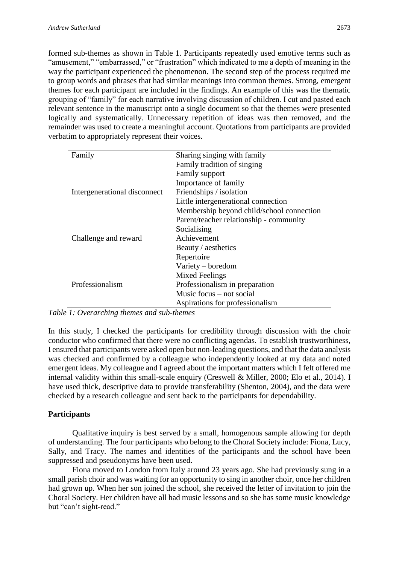formed sub-themes as shown in Table 1. Participants repeatedly used emotive terms such as "amusement," "embarrassed," or "frustration" which indicated to me a depth of meaning in the way the participant experienced the phenomenon. The second step of the process required me to group words and phrases that had similar meanings into common themes. Strong, emergent themes for each participant are included in the findings. An example of this was the thematic grouping of "family" for each narrative involving discussion of children. I cut and pasted each relevant sentence in the manuscript onto a single document so that the themes were presented logically and systematically. Unnecessary repetition of ideas was then removed, and the remainder was used to create a meaningful account. Quotations from participants are provided verbatim to appropriately represent their voices.

| Family                       | Sharing singing with family               |
|------------------------------|-------------------------------------------|
|                              | Family tradition of singing               |
|                              | <b>Family support</b>                     |
|                              | Importance of family                      |
| Intergenerational disconnect | Friendships / isolation                   |
|                              | Little intergenerational connection       |
|                              | Membership beyond child/school connection |
|                              | Parent/teacher relationship - community   |
|                              | Socialising                               |
| Challenge and reward         | Achievement                               |
|                              | Beauty / aesthetics                       |
|                              | Repertoire                                |
|                              | Variety – boredom                         |
|                              | Mixed Feelings                            |
| Professionalism              | Professionalism in preparation            |
|                              | Music focus – not social                  |
|                              | Aspirations for professionalism           |

*Table 1: Overarching themes and sub-themes*

In this study, I checked the participants for credibility through discussion with the choir conductor who confirmed that there were no conflicting agendas. To establish trustworthiness, I ensured that participants were asked open but non-leading questions, and that the data analysis was checked and confirmed by a colleague who independently looked at my data and noted emergent ideas. My colleague and I agreed about the important matters which I felt offered me internal validity within this small-scale enquiry (Creswell & Miller, 2000; Elo et al., 2014). I have used thick, descriptive data to provide transferability (Shenton, 2004), and the data were checked by a research colleague and sent back to the participants for dependability.

## **Participants**

Qualitative inquiry is best served by a small, homogenous sample allowing for depth of understanding. The four participants who belong to the Choral Society include: Fiona, Lucy, Sally, and Tracy. The names and identities of the participants and the school have been suppressed and pseudonyms have been used.

Fiona moved to London from Italy around 23 years ago. She had previously sung in a small parish choir and was waiting for an opportunity to sing in another choir, once her children had grown up. When her son joined the school, she received the letter of invitation to join the Choral Society. Her children have all had music lessons and so she has some music knowledge but "can't sight-read."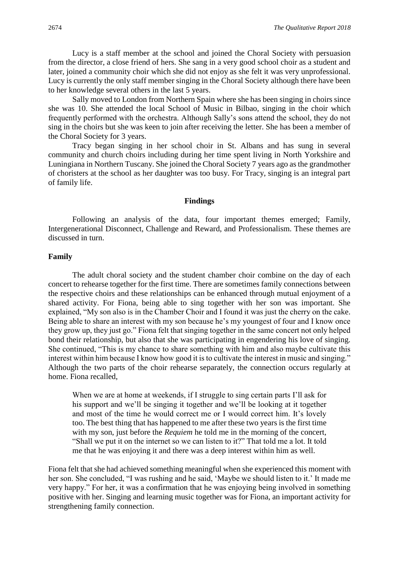Lucy is a staff member at the school and joined the Choral Society with persuasion from the director, a close friend of hers. She sang in a very good school choir as a student and later, joined a community choir which she did not enjoy as she felt it was very unprofessional. Lucy is currently the only staff member singing in the Choral Society although there have been to her knowledge several others in the last 5 years.

Sally moved to London from Northern Spain where she has been singing in choirs since she was 10. She attended the local School of Music in Bilbao, singing in the choir which frequently performed with the orchestra. Although Sally's sons attend the school, they do not sing in the choirs but she was keen to join after receiving the letter. She has been a member of the Choral Society for 3 years.

Tracy began singing in her school choir in St. Albans and has sung in several community and church choirs including during her time spent living in North Yorkshire and Luningiana in Northern Tuscany. She joined the Choral Society 7 years ago as the grandmother of choristers at the school as her daughter was too busy. For Tracy, singing is an integral part of family life.

#### **Findings**

Following an analysis of the data, four important themes emerged; Family, Intergenerational Disconnect, Challenge and Reward, and Professionalism. These themes are discussed in turn.

#### **Family**

The adult choral society and the student chamber choir combine on the day of each concert to rehearse together for the first time. There are sometimes family connections between the respective choirs and these relationships can be enhanced through mutual enjoyment of a shared activity. For Fiona, being able to sing together with her son was important. She explained, "My son also is in the Chamber Choir and I found it was just the cherry on the cake. Being able to share an interest with my son because he's my youngest of four and I know once they grow up, they just go." Fiona felt that singing together in the same concert not only helped bond their relationship, but also that she was participating in engendering his love of singing. She continued, "This is my chance to share something with him and also maybe cultivate this interest within him because I know how good it is to cultivate the interest in music and singing." Although the two parts of the choir rehearse separately, the connection occurs regularly at home. Fiona recalled,

When we are at home at weekends, if I struggle to sing certain parts I'll ask for his support and we'll be singing it together and we'll be looking at it together and most of the time he would correct me or I would correct him. It's lovely too. The best thing that has happened to me after these two years is the first time with my son, just before the *Requiem* he told me in the morning of the concert, "Shall we put it on the internet so we can listen to it?" That told me a lot. It told me that he was enjoying it and there was a deep interest within him as well.

Fiona felt that she had achieved something meaningful when she experienced this moment with her son. She concluded, "I was rushing and he said, 'Maybe we should listen to it.' It made me very happy." For her, it was a confirmation that he was enjoying being involved in something positive with her. Singing and learning music together was for Fiona, an important activity for strengthening family connection.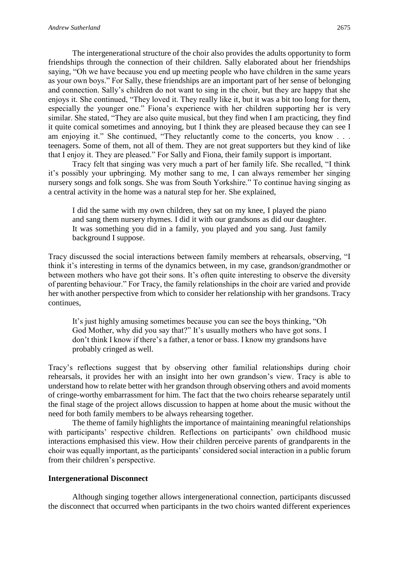The intergenerational structure of the choir also provides the adults opportunity to form friendships through the connection of their children. Sally elaborated about her friendships saying, "Oh we have because you end up meeting people who have children in the same years as your own boys." For Sally, these friendships are an important part of her sense of belonging and connection. Sally's children do not want to sing in the choir, but they are happy that she enjoys it. She continued, "They loved it. They really like it, but it was a bit too long for them, especially the younger one." Fiona's experience with her children supporting her is very similar. She stated, "They are also quite musical, but they find when I am practicing, they find it quite comical sometimes and annoying, but I think they are pleased because they can see I am enjoying it." She continued, "They reluctantly come to the concerts, you know . . . teenagers. Some of them, not all of them. They are not great supporters but they kind of like that I enjoy it. They are pleased." For Sally and Fiona, their family support is important.

Tracy felt that singing was very much a part of her family life. She recalled, "I think it's possibly your upbringing. My mother sang to me, I can always remember her singing nursery songs and folk songs. She was from South Yorkshire." To continue having singing as a central activity in the home was a natural step for her. She explained,

I did the same with my own children, they sat on my knee, I played the piano and sang them nursery rhymes. I did it with our grandsons as did our daughter. It was something you did in a family, you played and you sang. Just family background I suppose.

Tracy discussed the social interactions between family members at rehearsals, observing, "I think it's interesting in terms of the dynamics between, in my case, grandson/grandmother or between mothers who have got their sons. It's often quite interesting to observe the diversity of parenting behaviour." For Tracy, the family relationships in the choir are varied and provide her with another perspective from which to consider her relationship with her grandsons. Tracy continues,

It's just highly amusing sometimes because you can see the boys thinking, "Oh God Mother, why did you say that?" It's usually mothers who have got sons. I don't think I know if there's a father, a tenor or bass. I know my grandsons have probably cringed as well.

Tracy's reflections suggest that by observing other familial relationships during choir rehearsals, it provides her with an insight into her own grandson's view. Tracy is able to understand how to relate better with her grandson through observing others and avoid moments of cringe-worthy embarrassment for him. The fact that the two choirs rehearse separately until the final stage of the project allows discussion to happen at home about the music without the need for both family members to be always rehearsing together.

The theme of family highlights the importance of maintaining meaningful relationships with participants' respective children. Reflections on participants' own childhood music interactions emphasised this view. How their children perceive parents of grandparents in the choir was equally important, as the participants' considered social interaction in a public forum from their children's perspective.

### **Intergenerational Disconnect**

Although singing together allows intergenerational connection, participants discussed the disconnect that occurred when participants in the two choirs wanted different experiences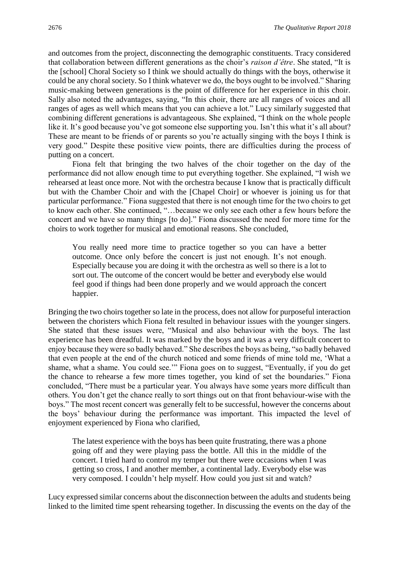and outcomes from the project, disconnecting the demographic constituents. Tracy considered that collaboration between different generations as the choir's *raison d'être*. She stated, "It is the [school] Choral Society so I think we should actually do things with the boys, otherwise it could be any choral society. So I think whatever we do, the boys ought to be involved." Sharing music-making between generations is the point of difference for her experience in this choir. Sally also noted the advantages, saying, "In this choir, there are all ranges of voices and all ranges of ages as well which means that you can achieve a lot." Lucy similarly suggested that combining different generations is advantageous. She explained, "I think on the whole people like it. It's good because you've got someone else supporting you. Isn't this what it's all about? These are meant to be friends of or parents so you're actually singing with the boys I think is very good." Despite these positive view points, there are difficulties during the process of putting on a concert.

Fiona felt that bringing the two halves of the choir together on the day of the performance did not allow enough time to put everything together. She explained, "I wish we rehearsed at least once more. Not with the orchestra because I know that is practically difficult but with the Chamber Choir and with the [Chapel Choir] or whoever is joining us for that particular performance." Fiona suggested that there is not enough time for the two choirs to get to know each other. She continued, "…because we only see each other a few hours before the concert and we have so many things [to do]." Fiona discussed the need for more time for the choirs to work together for musical and emotional reasons. She concluded,

You really need more time to practice together so you can have a better outcome. Once only before the concert is just not enough. It's not enough. Especially because you are doing it with the orchestra as well so there is a lot to sort out. The outcome of the concert would be better and everybody else would feel good if things had been done properly and we would approach the concert happier.

Bringing the two choirs together so late in the process, does not allow for purposeful interaction between the choristers which Fiona felt resulted in behaviour issues with the younger singers. She stated that these issues were, "Musical and also behaviour with the boys. The last experience has been dreadful. It was marked by the boys and it was a very difficult concert to enjoy because they were so badly behaved." She describes the boys as being, "so badly behaved that even people at the end of the church noticed and some friends of mine told me, 'What a shame, what a shame. You could see.'" Fiona goes on to suggest, "Eventually, if you do get the chance to rehearse a few more times together, you kind of set the boundaries." Fiona concluded, "There must be a particular year. You always have some years more difficult than others. You don't get the chance really to sort things out on that front behaviour-wise with the boys." The most recent concert was generally felt to be successful, however the concerns about the boys' behaviour during the performance was important. This impacted the level of enjoyment experienced by Fiona who clarified,

The latest experience with the boys has been quite frustrating, there was a phone going off and they were playing pass the bottle. All this in the middle of the concert. I tried hard to control my temper but there were occasions when I was getting so cross, I and another member, a continental lady. Everybody else was very composed. I couldn't help myself. How could you just sit and watch?

Lucy expressed similar concerns about the disconnection between the adults and students being linked to the limited time spent rehearsing together. In discussing the events on the day of the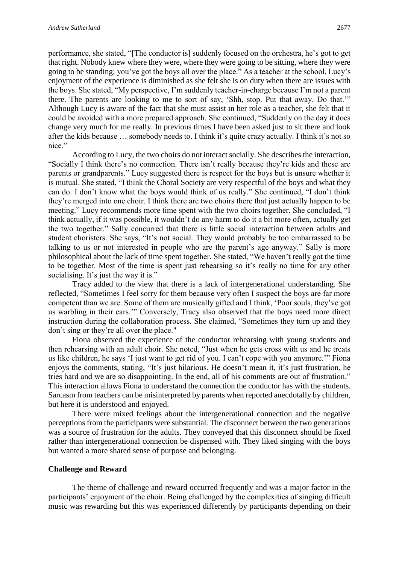performance, she stated, "[The conductor is] suddenly focused on the orchestra, he's got to get that right. Nobody knew where they were, where they were going to be sitting, where they were going to be standing; you've got the boys all over the place." As a teacher at the school, Lucy's enjoyment of the experience is diminished as she felt she is on duty when there are issues with the boys. She stated, "My perspective, I'm suddenly teacher-in-charge because I'm not a parent there. The parents are looking to me to sort of say, 'Shh, stop. Put that away. Do that.'" Although Lucy is aware of the fact that she must assist in her role as a teacher, she felt that it could be avoided with a more prepared approach. She continued, "Suddenly on the day it does change very much for me really. In previous times I have been asked just to sit there and look after the kids because … somebody needs to. I think it's quite crazy actually. I think it's not so nice."

According to Lucy, the two choirs do not interact socially. She describes the interaction, "Socially I think there's no connection. There isn't really because they're kids and these are parents or grandparents." Lucy suggested there is respect for the boys but is unsure whether it is mutual. She stated, "I think the Choral Society are very respectful of the boys and what they can do. I don't know what the boys would think of us really." She continued, "I don't think they're merged into one choir. I think there are two choirs there that just actually happen to be meeting." Lucy recommends more time spent with the two choirs together. She concluded, "I think actually, if it was possible, it wouldn't do any harm to do it a bit more often, actually get the two together." Sally concurred that there is little social interaction between adults and student choristers. She says, "It's not social. They would probably be too embarrassed to be talking to us or not interested in people who are the parent's age anyway." Sally is more philosophical about the lack of time spent together. She stated, "We haven't really got the time to be together. Most of the time is spent just rehearsing so it's really no time for any other socialising. It's just the way it is."

Tracy added to the view that there is a lack of intergenerational understanding. She reflected, "Sometimes I feel sorry for them because very often I suspect the boys are far more competent than we are. Some of them are musically gifted and I think, 'Poor souls, they've got us warbling in their ears.'" Conversely, Tracy also observed that the boys need more direct instruction during the collaboration process. She claimed, "Sometimes they turn up and they don't sing or they're all over the place."

Fiona observed the experience of the conductor rehearsing with young students and then rehearsing with an adult choir. She noted, "Just when he gets cross with us and he treats us like children, he says 'I just want to get rid of you. I can't cope with you anymore.'" Fiona enjoys the comments, stating, "It's just hilarious. He doesn't mean it, it's just frustration, he tries hard and we are so disappointing. In the end, all of his comments are out of frustration." This interaction allows Fiona to understand the connection the conductor has with the students. Sarcasm from teachers can be misinterpreted by parents when reported anecdotally by children, but here it is understood and enjoyed.

There were mixed feelings about the intergenerational connection and the negative perceptions from the participants were substantial. The disconnect between the two generations was a source of frustration for the adults. They conveyed that this disconnect should be fixed rather than intergenerational connection be dispensed with. They liked singing with the boys but wanted a more shared sense of purpose and belonging.

### **Challenge and Reward**

The theme of challenge and reward occurred frequently and was a major factor in the participants' enjoyment of the choir. Being challenged by the complexities of singing difficult music was rewarding but this was experienced differently by participants depending on their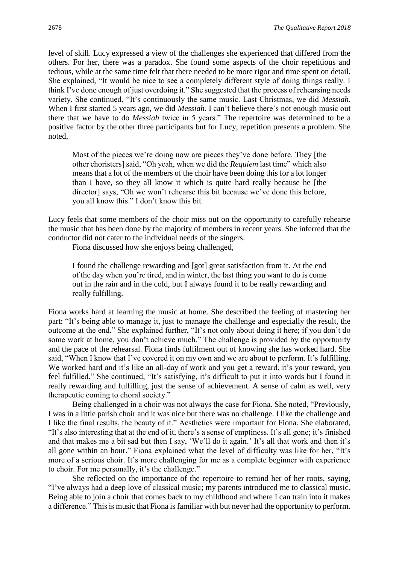level of skill. Lucy expressed a view of the challenges she experienced that differed from the others. For her, there was a paradox. She found some aspects of the choir repetitious and tedious, while at the same time felt that there needed to be more rigor and time spent on detail. She explained, "It would be nice to see a completely different style of doing things really. I think I've done enough of just overdoing it." She suggested that the process of rehearsing needs variety. She continued, "It's continuously the same music. Last Christmas, we did *Messiah*. When I first started 5 years ago, we did *Messiah*. I can't believe there's not enough music out there that we have to do *Messiah* twice in 5 years." The repertoire was determined to be a positive factor by the other three participants but for Lucy, repetition presents a problem. She noted,

Most of the pieces we're doing now are pieces they've done before. They [the other choristers] said, "Oh yeah, when we did the *Requiem* last time" which also means that a lot of the members of the choir have been doing this for a lot longer than I have, so they all know it which is quite hard really because he [the director] says, "Oh we won't rehearse this bit because we've done this before, you all know this." I don't know this bit.

Lucy feels that some members of the choir miss out on the opportunity to carefully rehearse the music that has been done by the majority of members in recent years. She inferred that the conductor did not cater to the individual needs of the singers.

Fiona discussed how she enjoys being challenged,

I found the challenge rewarding and [got] great satisfaction from it. At the end of the day when you're tired, and in winter, the last thing you want to do is come out in the rain and in the cold, but I always found it to be really rewarding and really fulfilling.

Fiona works hard at learning the music at home. She described the feeling of mastering her part: "It's being able to manage it, just to manage the challenge and especially the result, the outcome at the end." She explained further, "It's not only about doing it here; if you don't do some work at home, you don't achieve much." The challenge is provided by the opportunity and the pace of the rehearsal. Fiona finds fulfilment out of knowing she has worked hard. She said, "When I know that I've covered it on my own and we are about to perform. It's fulfilling. We worked hard and it's like an all-day of work and you get a reward, it's your reward, you feel fulfilled." She continued, "It's satisfying, it's difficult to put it into words but I found it really rewarding and fulfilling, just the sense of achievement. A sense of calm as well, very therapeutic coming to choral society."

Being challenged in a choir was not always the case for Fiona. She noted, "Previously, I was in a little parish choir and it was nice but there was no challenge. I like the challenge and I like the final results, the beauty of it." Aesthetics were important for Fiona. She elaborated, "It's also interesting that at the end of it, there's a sense of emptiness. It's all gone; it's finished and that makes me a bit sad but then I say, 'We'll do it again.' It's all that work and then it's all gone within an hour." Fiona explained what the level of difficulty was like for her, "It's more of a serious choir. It's more challenging for me as a complete beginner with experience to choir. For me personally, it's the challenge."

She reflected on the importance of the repertoire to remind her of her roots, saying, "I've always had a deep love of classical music; my parents introduced me to classical music. Being able to join a choir that comes back to my childhood and where I can train into it makes a difference." This is music that Fiona is familiar with but never had the opportunity to perform.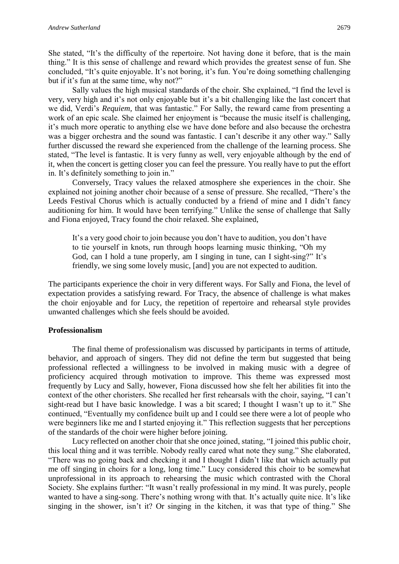She stated, "It's the difficulty of the repertoire. Not having done it before, that is the main thing." It is this sense of challenge and reward which provides the greatest sense of fun. She concluded, "It's quite enjoyable. It's not boring, it's fun. You're doing something challenging but if it's fun at the same time, why not?"

Sally values the high musical standards of the choir. She explained, "I find the level is very, very high and it's not only enjoyable but it's a bit challenging like the last concert that we did, Verdi's *Requiem,* that was fantastic." For Sally, the reward came from presenting a work of an epic scale. She claimed her enjoyment is "because the music itself is challenging, it's much more operatic to anything else we have done before and also because the orchestra was a bigger orchestra and the sound was fantastic. I can't describe it any other way." Sally further discussed the reward she experienced from the challenge of the learning process. She stated, "The level is fantastic. It is very funny as well, very enjoyable although by the end of it, when the concert is getting closer you can feel the pressure. You really have to put the effort in. It's definitely something to join in."

Conversely, Tracy values the relaxed atmosphere she experiences in the choir. She explained not joining another choir because of a sense of pressure. She recalled, "There's the Leeds Festival Chorus which is actually conducted by a friend of mine and I didn't fancy auditioning for him. It would have been terrifying." Unlike the sense of challenge that Sally and Fiona enjoyed, Tracy found the choir relaxed. She explained,

It's a very good choir to join because you don't have to audition, you don't have to tie yourself in knots, run through hoops learning music thinking, "Oh my God, can I hold a tune properly, am I singing in tune, can I sight-sing?" It's friendly, we sing some lovely music, [and] you are not expected to audition.

The participants experience the choir in very different ways. For Sally and Fiona, the level of expectation provides a satisfying reward. For Tracy, the absence of challenge is what makes the choir enjoyable and for Lucy, the repetition of repertoire and rehearsal style provides unwanted challenges which she feels should be avoided.

## **Professionalism**

The final theme of professionalism was discussed by participants in terms of attitude, behavior, and approach of singers. They did not define the term but suggested that being professional reflected a willingness to be involved in making music with a degree of proficiency acquired through motivation to improve. This theme was expressed most frequently by Lucy and Sally, however, Fiona discussed how she felt her abilities fit into the context of the other choristers. She recalled her first rehearsals with the choir, saying, "I can't sight-read but I have basic knowledge. I was a bit scared; I thought I wasn't up to it." She continued, "Eventually my confidence built up and I could see there were a lot of people who were beginners like me and I started enjoying it." This reflection suggests that her perceptions of the standards of the choir were higher before joining.

Lucy reflected on another choir that she once joined, stating, "I joined this public choir, this local thing and it was terrible. Nobody really cared what note they sung." She elaborated, "There was no going back and checking it and I thought I didn't like that which actually put me off singing in choirs for a long, long time." Lucy considered this choir to be somewhat unprofessional in its approach to rehearsing the music which contrasted with the Choral Society. She explains further: "It wasn't really professional in my mind. It was purely, people wanted to have a sing-song. There's nothing wrong with that. It's actually quite nice. It's like singing in the shower, isn't it? Or singing in the kitchen, it was that type of thing." She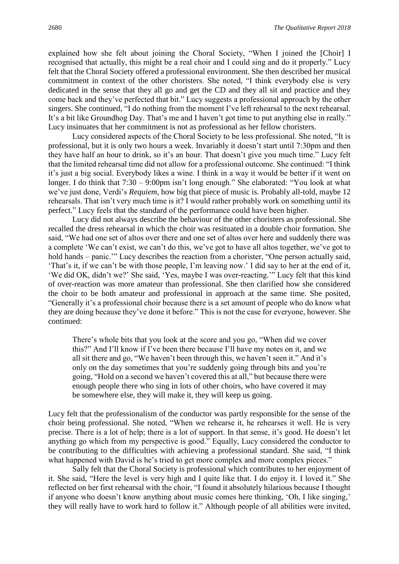explained how she felt about joining the Choral Society, "When I joined the [Choir] I recognised that actually, this might be a real choir and I could sing and do it properly." Lucy felt that the Choral Society offered a professional environment. She then described her musical commitment in context of the other choristers. She noted, "I think everybody else is very dedicated in the sense that they all go and get the CD and they all sit and practice and they come back and they've perfected that bit." Lucy suggests a professional approach by the other singers. She continued, "I do nothing from the moment I've left rehearsal to the next rehearsal. It's a bit like Groundhog Day. That's me and I haven't got time to put anything else in really." Lucy insinuates that her commitment is not as professional as her fellow choristers.

Lucy considered aspects of the Choral Society to be less professional. She noted, "It is professional, but it is only two hours a week. Invariably it doesn't start until 7:30pm and then they have half an hour to drink, so it's an hour. That doesn't give you much time." Lucy felt that the limited rehearsal time did not allow for a professional outcome. She continued: "I think it's just a big social. Everybody likes a wine. I think in a way it would be better if it went on longer. I do think that 7:30 – 9:00pm isn't long enough." She elaborated: "You look at what we've just done, Verdi's *Requiem,* how big that piece of music is. Probably all-told, maybe 12 rehearsals. That isn't very much time is it? I would rather probably work on something until its perfect." Lucy feels that the standard of the performance could have been higher.

Lucy did not always describe the behaviour of the other choristers as professional. She recalled the dress rehearsal in which the choir was resituated in a double choir formation. She said, "We had one set of altos over there and one set of altos over here and suddenly there was a complete 'We can't exist, we can't do this, we've got to have all altos together, we've got to hold hands – panic." Lucy describes the reaction from a chorister, "One person actually said, 'That's it, if we can't be with those people, I'm leaving now.' I did say to her at the end of it, 'We did OK, didn't we?' She said, 'Yes, maybe I was over-reacting.'" Lucy felt that this kind of over-reaction was more amateur than professional. She then clarified how she considered the choir to be both amateur and professional in approach at the same time. She posited, "Generally it's a professional choir because there is a set amount of people who do know what they are doing because they've done it before." This is not the case for everyone, however. She continued:

There's whole bits that you look at the score and you go, "When did we cover this?" And I'll know if I've been there because I'll have my notes on it, and we all sit there and go, "We haven't been through this, we haven't seen it." And it's only on the day sometimes that you're suddenly going through bits and you're going, "Hold on a second we haven't covered this at all," but because there were enough people there who sing in lots of other choirs, who have covered it may be somewhere else, they will make it, they will keep us going.

Lucy felt that the professionalism of the conductor was partly responsible for the sense of the choir being professional. She noted, "When we rehearse it, he rehearses it well. He is very precise. There is a lot of help; there is a lot of support. In that sense, it's good. He doesn't let anything go which from my perspective is good." Equally, Lucy considered the conductor to be contributing to the difficulties with achieving a professional standard. She said, "I think what happened with David is he's tried to get more complex and more complex pieces."

Sally felt that the Choral Society is professional which contributes to her enjoyment of it. She said, "Here the level is very high and I quite like that. I do enjoy it. I loved it." She reflected on her first rehearsal with the choir, "I found it absolutely hilarious because I thought if anyone who doesn't know anything about music comes here thinking, 'Oh, I like singing,' they will really have to work hard to follow it." Although people of all abilities were invited,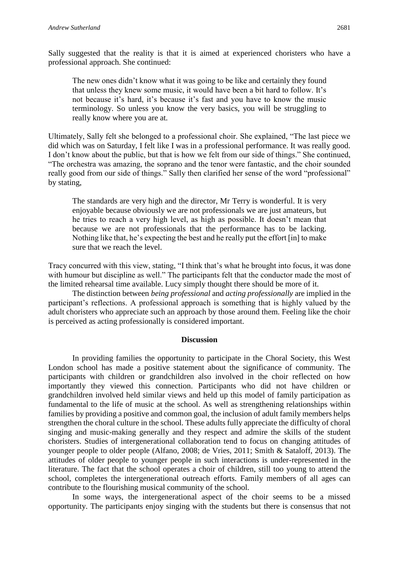Sally suggested that the reality is that it is aimed at experienced choristers who have a professional approach. She continued:

The new ones didn't know what it was going to be like and certainly they found that unless they knew some music, it would have been a bit hard to follow. It's not because it's hard, it's because it's fast and you have to know the music terminology. So unless you know the very basics, you will be struggling to really know where you are at.

Ultimately, Sally felt she belonged to a professional choir. She explained, "The last piece we did which was on Saturday, I felt like I was in a professional performance. It was really good. I don't know about the public, but that is how we felt from our side of things." She continued, "The orchestra was amazing, the soprano and the tenor were fantastic, and the choir sounded really good from our side of things." Sally then clarified her sense of the word "professional" by stating,

The standards are very high and the director, Mr Terry is wonderful. It is very enjoyable because obviously we are not professionals we are just amateurs, but he tries to reach a very high level, as high as possible. It doesn't mean that because we are not professionals that the performance has to be lacking. Nothing like that, he's expecting the best and he really put the effort [in] to make sure that we reach the level.

Tracy concurred with this view, stating, "I think that's what he brought into focus, it was done with humour but discipline as well." The participants felt that the conductor made the most of the limited rehearsal time available. Lucy simply thought there should be more of it.

The distinction between *being professional* and *acting professionally* are implied in the participant's reflections. A professional approach is something that is highly valued by the adult choristers who appreciate such an approach by those around them. Feeling like the choir is perceived as acting professionally is considered important.

### **Discussion**

In providing families the opportunity to participate in the Choral Society, this West London school has made a positive statement about the significance of community. The participants with children or grandchildren also involved in the choir reflected on how importantly they viewed this connection. Participants who did not have children or grandchildren involved held similar views and held up this model of family participation as fundamental to the life of music at the school. As well as strengthening relationships within families by providing a positive and common goal, the inclusion of adult family members helps strengthen the choral culture in the school. These adults fully appreciate the difficulty of choral singing and music-making generally and they respect and admire the skills of the student choristers. Studies of intergenerational collaboration tend to focus on changing attitudes of younger people to older people (Alfano, 2008; de Vries, 2011; Smith & Sataloff, 2013). The attitudes of older people to younger people in such interactions is under-represented in the literature. The fact that the school operates a choir of children, still too young to attend the school, completes the intergenerational outreach efforts. Family members of all ages can contribute to the flourishing musical community of the school.

In some ways, the intergenerational aspect of the choir seems to be a missed opportunity. The participants enjoy singing with the students but there is consensus that not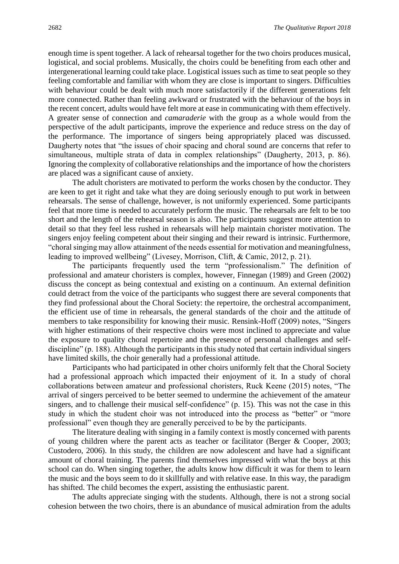enough time is spent together. A lack of rehearsal together for the two choirs produces musical, logistical, and social problems. Musically, the choirs could be benefiting from each other and intergenerational learning could take place. Logistical issues such as time to seat people so they feeling comfortable and familiar with whom they are close is important to singers. Difficulties with behaviour could be dealt with much more satisfactorily if the different generations felt more connected. Rather than feeling awkward or frustrated with the behaviour of the boys in the recent concert, adults would have felt more at ease in communicating with them effectively. A greater sense of connection and *camaraderie* with the group as a whole would from the perspective of the adult participants, improve the experience and reduce stress on the day of the performance. The importance of singers being appropriately placed was discussed. Daugherty notes that "the issues of choir spacing and choral sound are concerns that refer to simultaneous, multiple strata of data in complex relationships" (Daugherty, 2013, p. 86). Ignoring the complexity of collaborative relationships and the importance of how the choristers are placed was a significant cause of anxiety.

The adult choristers are motivated to perform the works chosen by the conductor. They are keen to get it right and take what they are doing seriously enough to put work in between rehearsals. The sense of challenge, however, is not uniformly experienced. Some participants feel that more time is needed to accurately perform the music. The rehearsals are felt to be too short and the length of the rehearsal season is also. The participants suggest more attention to detail so that they feel less rushed in rehearsals will help maintain chorister motivation. The singers enjoy feeling competent about their singing and their reward is intrinsic. Furthermore, "choral singing may allow attainment of the needs essential for motivation and meaningfulness, leading to improved wellbeing" (Livesey, Morrison, Clift, & Camic, 2012, p. 21)*.*

The participants frequently used the term "professionalism." The definition of professional and amateur choristers is complex, however, Finnegan (1989) and Green (2002) discuss the concept as being contextual and existing on a continuum. An external definition could detract from the voice of the participants who suggest there are several components that they find professional about the Choral Society: the repertoire, the orchestral accompaniment, the efficient use of time in rehearsals, the general standards of the choir and the attitude of members to take responsibility for knowing their music. Rensink-Hoff (2009) notes, "Singers with higher estimations of their respective choirs were most inclined to appreciate and value the exposure to quality choral repertoire and the presence of personal challenges and selfdiscipline" (p. 188). Although the participants in this study noted that certain individual singers have limited skills, the choir generally had a professional attitude.

Participants who had participated in other choirs uniformly felt that the Choral Society had a professional approach which impacted their enjoyment of it. In a study of choral collaborations between amateur and professional choristers, Ruck Keene (2015) notes, "The arrival of singers perceived to be better seemed to undermine the achievement of the amateur singers, and to challenge their musical self-confidence" (p. 15). This was not the case in this study in which the student choir was not introduced into the process as "better" or "more professional" even though they are generally perceived to be by the participants.

The literature dealing with singing in a family context is mostly concerned with parents of young children where the parent acts as teacher or facilitator (Berger & Cooper, 2003; Custodero, 2006). In this study, the children are now adolescent and have had a significant amount of choral training. The parents find themselves impressed with what the boys at this school can do. When singing together, the adults know how difficult it was for them to learn the music and the boys seem to do it skillfully and with relative ease. In this way, the paradigm has shifted. The child becomes the expert, assisting the enthusiastic parent.

The adults appreciate singing with the students. Although, there is not a strong social cohesion between the two choirs, there is an abundance of musical admiration from the adults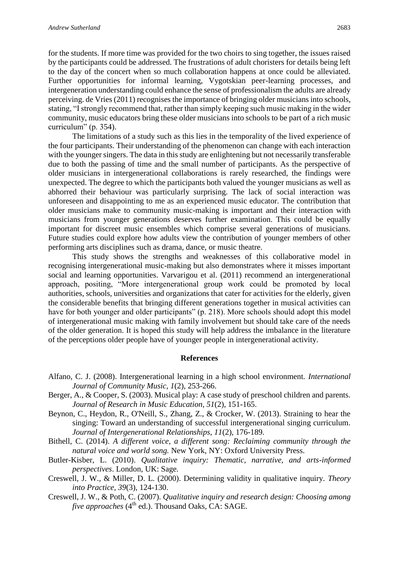for the students. If more time was provided for the two choirs to sing together, the issues raised by the participants could be addressed. The frustrations of adult choristers for details being left to the day of the concert when so much collaboration happens at once could be alleviated. Further opportunities for informal learning, Vygotskian peer-learning processes, and intergeneration understanding could enhance the sense of professionalism the adults are already perceiving. de Vries (2011) recognises the importance of bringing older musicians into schools, stating, "I strongly recommend that, rather than simply keeping such music making in the wider community, music educators bring these older musicians into schools to be part of a rich music curriculum" (p. 354).

The limitations of a study such as this lies in the temporality of the lived experience of the four participants. Their understanding of the phenomenon can change with each interaction with the younger singers. The data in this study are enlightening but not necessarily transferable due to both the passing of time and the small number of participants. As the perspective of older musicians in intergenerational collaborations is rarely researched, the findings were unexpected. The degree to which the participants both valued the younger musicians as well as abhorred their behaviour was particularly surprising. The lack of social interaction was unforeseen and disappointing to me as an experienced music educator. The contribution that older musicians make to community music-making is important and their interaction with musicians from younger generations deserves further examination. This could be equally important for discreet music ensembles which comprise several generations of musicians. Future studies could explore how adults view the contribution of younger members of other performing arts disciplines such as drama, dance, or music theatre.

This study shows the strengths and weaknesses of this collaborative model in recognising intergenerational music-making but also demonstrates where it misses important social and learning opportunities. Varvarigou et al. (2011) recommend an intergenerational approach, positing, "More intergenerational group work could be promoted by local authorities, schools, universities and organizations that cater for activities for the elderly, given the considerable benefits that bringing different generations together in musical activities can have for both younger and older participants" (p. 218). More schools should adopt this model of intergenerational music making with family involvement but should take care of the needs of the older generation. It is hoped this study will help address the imbalance in the literature of the perceptions older people have of younger people in intergenerational activity.

### **References**

- Alfano, C. J. (2008). Intergenerational learning in a high school environment. *International Journal of Community Music, 1*(2), 253-266.
- Berger, A., & Cooper, S. (2003). Musical play: A case study of preschool children and parents. *Journal of Research in Music Education, 51*(2), 151-165.
- Beynon, C., Heydon, R., O'Neill, S., Zhang, Z., & Crocker, W. (2013). Straining to hear the singing: Toward an understanding of successful intergenerational singing curriculum. *Journal of Intergenerational Relationships, 11*(2), 176-189.
- Bithell, C. (2014). *A different voice, a different song: Reclaiming community through the natural voice and world song.* New York, NY: Oxford University Press.
- Butler-Kisber, L. (2010). *Qualitative inquiry: Thematic, narrative, and arts-informed perspectives*. London, UK: Sage.
- Creswell, J. W., & Miller, D. L. (2000). Determining validity in qualitative inquiry. *Theory into Practice, 39*(3), 124-130.
- Creswell, J. W., & Poth, C. (2007). *Qualitative inquiry and research design: Choosing among five approaches* (4<sup>th</sup> ed.). Thousand Oaks, CA: SAGE.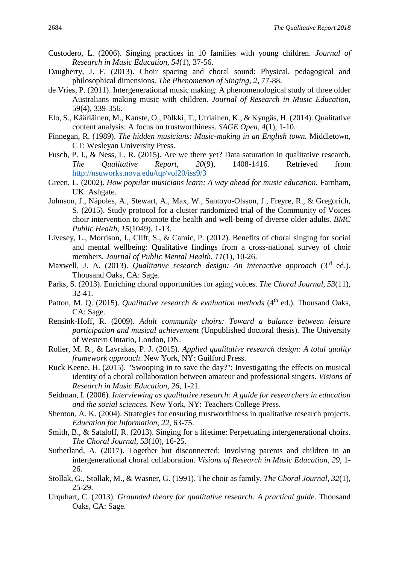- Custodero, L. (2006). Singing practices in 10 families with young children. *Journal of Research in Music Education, 54*(1), 37-56.
- Daugherty, J. F. (2013). Choir spacing and choral sound: Physical, pedagogical and philosophical dimensions. *The Phenomenon of Singing*, *2,* 77-88.
- de Vries, P. (2011). Intergenerational music making: A phenomenological study of three older Australians making music with children. *Journal of Research in Music Education,*  59(4), 339-356.
- Elo, S., Kääriäinen, M., Kanste, O., Pölkki, T., Utriainen, K., & Kyngäs, H. (2014). Qualitative content analysis: A focus on trustworthiness. *SAGE Open, 4*(1), 1-10.
- Finnegan, R. (1989). *The hidden musicians: Music-making in an English town.* Middletown, CT: Wesleyan University Press.
- Fusch, P. I., & Ness, L. R. (2015). Are we there yet? Data saturation in qualitative research. *The Qualitative Report, 20*(9), 1408-1416. Retrieved from <http://nsuworks.nova.edu/tqr/vol20/iss9/3>
- Green, L. (2002). *How popular musicians learn: A way ahead for music education*. Farnham, UK: Ashgate.
- Johnson, J., Nápoles, A., Stewart, A., Max, W., Santoyo-Olsson, J., Freyre, R., & Gregorich, S. (2015). Study protocol for a cluster randomized trial of the Community of Voices choir intervention to promote the health and well-being of diverse older adults. *BMC Public Health, 15*(1049), 1-13.
- Livesey, L., Morrison, I., Clift, S., & Camic, P. (2012). Benefits of choral singing for social and mental wellbeing: Qualitative findings from a cross-national survey of choir members. *Journal of Public Mental Health, 11*(1), 10-26.
- Maxwell, J. A. (2013). *Qualitative research design: An interactive approach* (3<sup>rd</sup> ed.). Thousand Oaks, CA: Sage.
- Parks, S. (2013). Enriching choral opportunities for aging voices. *The Choral Journal, 53*(11), 32-41.
- Patton, M. Q. (2015). *Qualitative research & evaluation methods* (4<sup>th</sup> ed.). Thousand Oaks, CA: Sage.
- Rensink-Hoff, R. (2009). *Adult community choirs: Toward a balance between leisure participation and musical achievement* (Unpublished doctoral thesis)*.* The University of Western Ontario, London, ON.
- Roller, M. R., & Lavrakas, P. J. (2015). *Applied qualitative research design: A total quality framework approach*. New York, NY: Guilford Press.
- Ruck Keene, H. (2015). "Swooping in to save the day?": Investigating the effects on musical identity of a choral collaboration between amateur and professional singers. *Visions of Research in Music Education, 26*, 1-21.
- Seidman, I. (2006). *Interviewing as qualitative research: A guide for researchers in education and the social sciences.* New York, NY: Teachers College Press.
- Shenton, A. K. (2004). Strategies for ensuring trustworthiness in qualitative research projects. *Education for Information, 22,* 63-75.
- Smith, B., & Sataloff, R. (2013). Singing for a lifetime: Perpetuating intergenerational choirs. *The Choral Journal, 53*(10), 16-25.
- Sutherland, A. (2017). Together but disconnected: Involving parents and children in an intergenerational choral collaboration. *Visions of Research in Music Education*, *29*, 1- 26.
- Stollak, G., Stollak, M., & Wasner, G. (1991). The choir as family. *The Choral Journal, 32*(1), 25-29.
- Urquhart, C. (2013). *Grounded theory for qualitative research: A practical guide*. Thousand Oaks, CA: Sage.